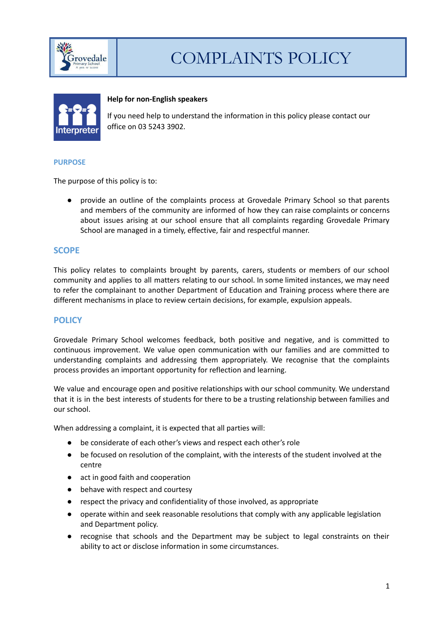

# COMPLAINTS POLICY



#### **Help for non-English speakers**

If you need help to understand the information in this policy please contact our office on 03 5243 3902.

#### **PURPOSE**

The purpose of this policy is to:

● provide an outline of the complaints process at Grovedale Primary School so that parents and members of the community are informed of how they can raise complaints or concerns about issues arising at our school ensure that all complaints regarding Grovedale Primary School are managed in a timely, effective, fair and respectful manner.

## **SCOPE**

This policy relates to complaints brought by parents, carers, students or members of our school community and applies to all matters relating to our school. In some limited instances, we may need to refer the complainant to another Department of Education and Training process where there are different mechanisms in place to review certain decisions, for example, expulsion appeals.

#### **POLICY**

Grovedale Primary School welcomes feedback, both positive and negative, and is committed to continuous improvement. We value open communication with our families and are committed to understanding complaints and addressing them appropriately. We recognise that the complaints process provides an important opportunity for reflection and learning.

We value and encourage open and positive relationships with our school community. We understand that it is in the best interests of students for there to be a trusting relationship between families and our school.

When addressing a complaint, it is expected that all parties will:

- be considerate of each other's views and respect each other's role
- be focused on resolution of the complaint, with the interests of the student involved at the centre
- act in good faith and cooperation
- behave with respect and courtesy
- respect the privacy and confidentiality of those involved, as appropriate
- operate within and seek reasonable resolutions that comply with any applicable legislation and Department policy.
- recognise that schools and the Department may be subject to legal constraints on their ability to act or disclose information in some circumstances.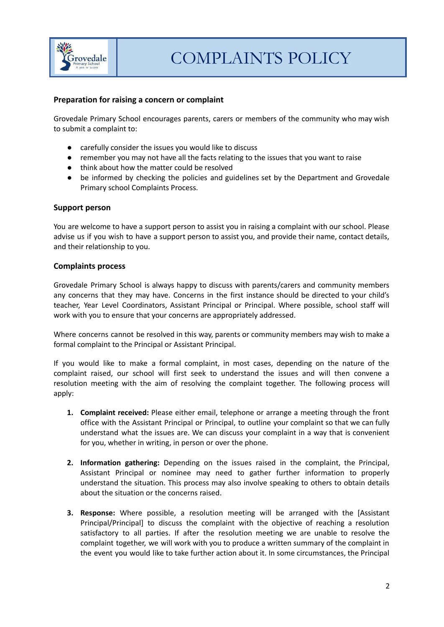

## **Preparation for raising a concern or complaint**

Grovedale Primary School encourages parents, carers or members of the community who may wish to submit a complaint to:

- carefully consider the issues you would like to discuss
- remember you may not have all the facts relating to the issues that you want to raise
- think about how the matter could be resolved
- be informed by checking the policies and guidelines set by the Department and Grovedale Primary school Complaints Process.

#### **Support person**

You are welcome to have a support person to assist you in raising a complaint with our school. Please advise us if you wish to have a support person to assist you, and provide their name, contact details, and their relationship to you.

#### **Complaints process**

Grovedale Primary School is always happy to discuss with parents/carers and community members any concerns that they may have. Concerns in the first instance should be directed to your child's teacher, Year Level Coordinators, Assistant Principal or Principal. Where possible, school staff will work with you to ensure that your concerns are appropriately addressed.

Where concerns cannot be resolved in this way, parents or community members may wish to make a formal complaint to the Principal or Assistant Principal.

If you would like to make a formal complaint, in most cases, depending on the nature of the complaint raised, our school will first seek to understand the issues and will then convene a resolution meeting with the aim of resolving the complaint together. The following process will apply:

- **1. Complaint received:** Please either email, telephone or arrange a meeting through the front office with the Assistant Principal or Principal, to outline your complaint so that we can fully understand what the issues are. We can discuss your complaint in a way that is convenient for you, whether in writing, in person or over the phone.
- **2. Information gathering:** Depending on the issues raised in the complaint, the Principal, Assistant Principal or nominee may need to gather further information to properly understand the situation. This process may also involve speaking to others to obtain details about the situation or the concerns raised.
- **3. Response:** Where possible, a resolution meeting will be arranged with the [Assistant Principal/Principal] to discuss the complaint with the objective of reaching a resolution satisfactory to all parties. If after the resolution meeting we are unable to resolve the complaint together, we will work with you to produce a written summary of the complaint in the event you would like to take further action about it. In some circumstances, the Principal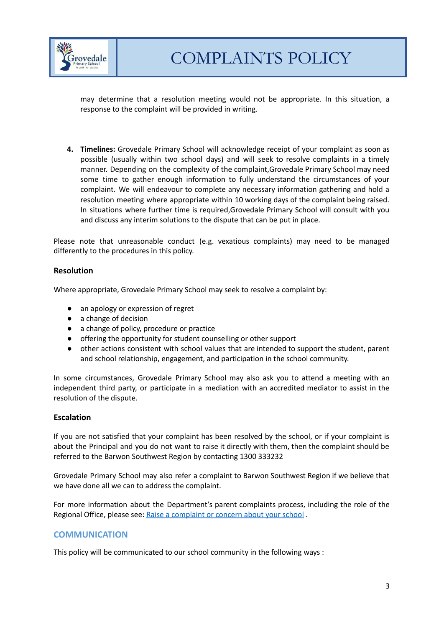

may determine that a resolution meeting would not be appropriate. In this situation, a response to the complaint will be provided in writing.

**4. Timelines:** Grovedale Primary School will acknowledge receipt of your complaint as soon as possible (usually within two school days) and will seek to resolve complaints in a timely manner. Depending on the complexity of the complaint,Grovedale Primary School may need some time to gather enough information to fully understand the circumstances of your complaint. We will endeavour to complete any necessary information gathering and hold a resolution meeting where appropriate within 10 working days of the complaint being raised. In situations where further time is required,Grovedale Primary School will consult with you and discuss any interim solutions to the dispute that can be put in place.

Please note that unreasonable conduct (e.g. vexatious complaints) may need to be managed differently to the procedures in this policy.

## **Resolution**

Where appropriate, Grovedale Primary School may seek to resolve a complaint by:

- an apology or expression of regret
- a change of decision
- a change of policy, procedure or practice
- offering the opportunity for student counselling or other support
- other actions consistent with school values that are intended to support the student, parent and school relationship, engagement, and participation in the school community.

In some circumstances, Grovedale Primary School may also ask you to attend a meeting with an independent third party, or participate in a mediation with an accredited mediator to assist in the resolution of the dispute.

#### **Escalation**

If you are not satisfied that your complaint has been resolved by the school, or if your complaint is about the Principal and you do not want to raise it directly with them, then the complaint should be referred to the Barwon Southwest Region by contacting 1300 333232

Grovedale Primary School may also refer a complaint to Barwon Southwest Region if we believe that we have done all we can to address the complaint.

For more information about the Department's parent complaints process, including the role of the Regional Office, please see: Raise a [complaint](https://www.education.vic.gov.au/parents/going-to-school/Pages/school-complaints.aspx#policy) or concern about your school .

# **COMMUNICATION**

This policy will be communicated to our school community in the following ways :